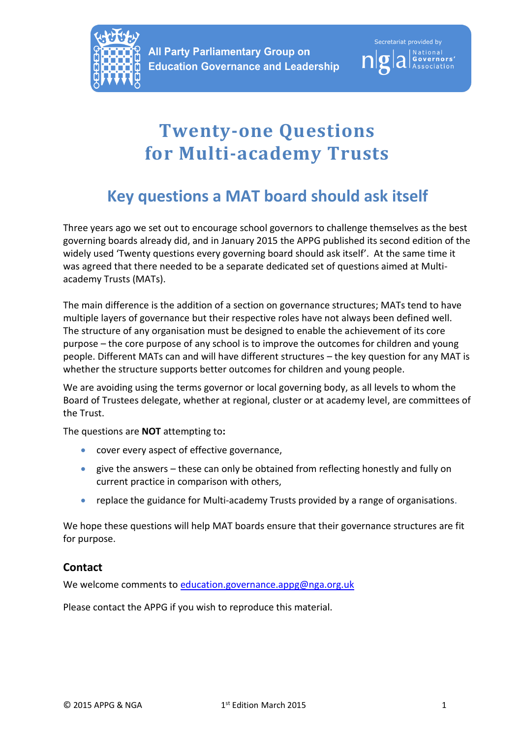



# **Twenty-one Questions for Multi-academy Trusts**

## **Key questions a MAT board should ask itself**

Three years ago we set out to encourage school governors to challenge themselves as the best governing boards already did, and in January 2015 the APPG published its second edition of the widely used 'Twenty questions every governing board should ask itself'. At the same time it was agreed that there needed to be a separate dedicated set of questions aimed at Multiacademy Trusts (MATs).

The main difference is the addition of a section on governance structures; MATs tend to have multiple layers of governance but their respective roles have not always been defined well. The structure of any organisation must be designed to enable the achievement of its core purpose – the core purpose of any school is to improve the outcomes for children and young people. Different MATs can and will have different structures – the key question for any MAT is whether the structure supports better outcomes for children and young people.

We are avoiding using the terms governor or local governing body, as all levels to whom the Board of Trustees delegate, whether at regional, cluster or at academy level, are committees of the Trust.

The questions are **NOT** attempting to**:**

- cover every aspect of effective governance,
- give the answers these can only be obtained from reflecting honestly and fully on current practice in comparison with others,
- replace the guidance for Multi-academy Trusts provided by a range of organisations.

We hope these questions will help MAT boards ensure that their governance structures are fit for purpose.

#### **Contact**

We welcome comments to [education.governance.appg@nga.org.uk](mailto:education.governance.appg@nga.org.uk)

Please contact the APPG if you wish to reproduce this material.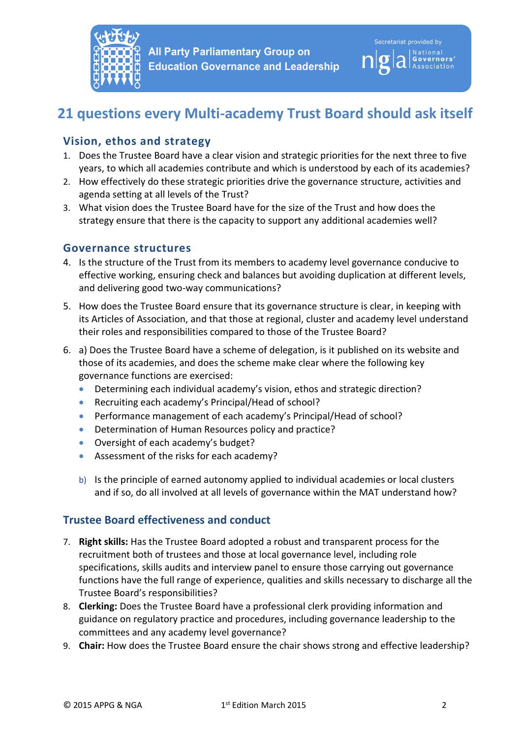

### **21 questions every Multi-academy Trust Board should ask itself**

#### **Vision, ethos and strategy**

- 1. Does the Trustee Board have a clear vision and strategic priorities for the next three to five years, to which all academies contribute and which is understood by each of its academies?
- 2. How effectively do these strategic priorities drive the governance structure, activities and agenda setting at all levels of the Trust?
- 3. What vision does the Trustee Board have for the size of the Trust and how does the strategy ensure that there is the capacity to support any additional academies well?

#### **Governance structures**

- 4. Is the structure of the Trust from its members to academy level governance conducive to effective working, ensuring check and balances but avoiding duplication at different levels, and delivering good two-way communications?
- 5. How does the Trustee Board ensure that its governance structure is clear, in keeping with its Articles of Association, and that those at regional, cluster and academy level understand their roles and responsibilities compared to those of the Trustee Board?
- 6. a) Does the Trustee Board have a scheme of delegation, is it published on its website and those of its academies, and does the scheme make clear where the following key governance functions are exercised:
	- Determining each individual academy's vision, ethos and strategic direction?
	- Recruiting each academy's Principal/Head of school?
	- Performance management of each academy's Principal/Head of school?
	- Determination of Human Resources policy and practice?
	- Oversight of each academy's budget?
	- Assessment of the risks for each academy?
	- b) Is the principle of earned autonomy applied to individual academies or local clusters and if so, do all involved at all levels of governance within the MAT understand how?

#### **Trustee Board effectiveness and conduct**

- 7. **Right skills:** Has the Trustee Board adopted a robust and transparent process for the recruitment both of trustees and those at local governance level, including role specifications, skills audits and interview panel to ensure those carrying out governance functions have the full range of experience, qualities and skills necessary to discharge all the Trustee Board's responsibilities?
- 8. **Clerking:** Does the Trustee Board have a professional clerk providing information and guidance on regulatory practice and procedures, including governance leadership to the committees and any academy level governance?
- 9. **Chair:** How does the Trustee Board ensure the chair shows strong and effective leadership?